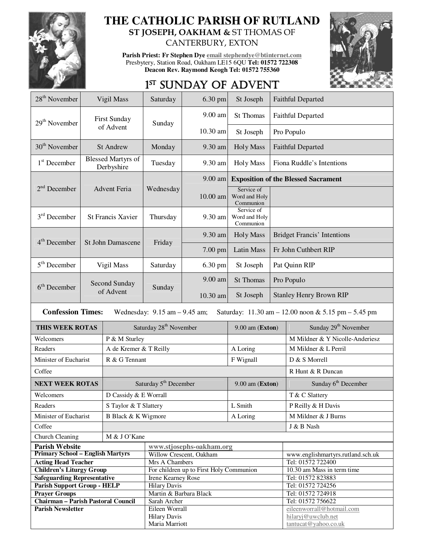

## **THE CATHOLIC PARISH OF RUTLAND ST JOSEPH, OAKHAM &** ST THOMAS OF

CANTERBURY, EXTON

**Parish Priest: Fr Stephen Dye email stephendye@btinternet.com** Presbytery, Station Road, Oakham LE15 6QU **Tel: 01572 722308 Deacon Rev. Raymond Keogh Tel: 01572 755360** 



# 1<sup>ST</sup> SUNDAY OF ADVENT

| 28 <sup>th</sup> November                                                                                                                              | Vigil Mass                              |                        | Saturday                                      | 6.30 pm    | St Joseph                                |                                            | <b>Faithful Departed</b>               |  |
|--------------------------------------------------------------------------------------------------------------------------------------------------------|-----------------------------------------|------------------------|-----------------------------------------------|------------|------------------------------------------|--------------------------------------------|----------------------------------------|--|
| $29th$ November                                                                                                                                        |                                         | <b>First Sunday</b>    | Sunday                                        | 9.00 am    | St Thomas                                | <b>Faithful Departed</b>                   |                                        |  |
|                                                                                                                                                        |                                         | of Advent              |                                               | $10.30$ am | St Joseph                                | Pro Populo                                 |                                        |  |
| 30 <sup>th</sup> November                                                                                                                              | <b>St Andrew</b>                        |                        | Monday                                        | 9.30 am    | <b>Holy Mass</b>                         | <b>Faithful Departed</b>                   |                                        |  |
| $1st$ December                                                                                                                                         | <b>Blessed Martyrs of</b><br>Derbyshire |                        | Tuesday                                       | 9.30 am    | <b>Holy Mass</b>                         | Fiona Ruddle's Intentions                  |                                        |  |
|                                                                                                                                                        |                                         |                        |                                               | $9.00$ am  |                                          | <b>Exposition of the Blessed Sacrament</b> |                                        |  |
| $2nd$ December                                                                                                                                         |                                         | Advent Feria           | Wednesday                                     | $10.00$ am | Service of<br>Word and Holy<br>Communion |                                            |                                        |  |
| $3rd$ December                                                                                                                                         | <b>St Francis Xavier</b>                |                        | Thursday                                      | 9.30 am    | Service of<br>Word and Holy<br>Communion |                                            |                                        |  |
| $4th$ December                                                                                                                                         |                                         |                        | Friday                                        | 9.30 am    | <b>Holy Mass</b>                         | <b>Bridget Francis' Intentions</b>         |                                        |  |
|                                                                                                                                                        |                                         | St John Damascene      |                                               | 7.00 pm    | <b>Latin Mass</b>                        | Fr John Cuthbert RIP                       |                                        |  |
| $5th$ December                                                                                                                                         |                                         | Vigil Mass             | Saturday                                      | 6.30 pm    | St Joseph                                | Pat Quinn RIP                              |                                        |  |
| $6th$ December                                                                                                                                         |                                         | Second Sunday          |                                               | 9.00 am    | St Thomas                                | Pro Populo                                 |                                        |  |
|                                                                                                                                                        |                                         | of Advent              | Sunday                                        | 10.30 am   | St Joseph                                | <b>Stanley Henry Brown RIP</b>             |                                        |  |
| <b>Confession Times:</b><br>Wednesday: $9.15$ am $-9.45$ am;<br>Saturday: $11.30 \text{ am} - 12.00 \text{ noon} \& 5.15 \text{ pm} - 5.45 \text{ pm}$ |                                         |                        |                                               |            |                                          |                                            |                                        |  |
| THIS WEEK ROTAS                                                                                                                                        |                                         |                        | Saturday 28 <sup>th</sup> November            |            |                                          | $9.00$ am (Exton)                          | Sunday 29 <sup>th</sup> November       |  |
| Welcomers                                                                                                                                              |                                         | P & M Sturley          |                                               |            |                                          |                                            | M Mildner & Y Nicolle-Anderiesz        |  |
| Readers                                                                                                                                                |                                         | A de Kremer & T Reilly |                                               |            | A Loring                                 |                                            | M Mildner & L Perril                   |  |
| Minister of Eucharist                                                                                                                                  |                                         | R & G Tennant          |                                               |            | F Wignall                                |                                            | D & S Morrell                          |  |
| Coffee                                                                                                                                                 |                                         |                        |                                               |            |                                          |                                            | R Hunt & R Duncan                      |  |
|                                                                                                                                                        | <b>NEXT WEEK ROTAS</b>                  |                        | Saturday 5 <sup>th</sup> December             |            |                                          | 9.00 am (Exton)                            | Sunday 6 <sup>th</sup> December        |  |
| Welcomers                                                                                                                                              |                                         | D Cassidy & E Worrall  |                                               |            |                                          |                                            | T & C Slattery                         |  |
| Readers                                                                                                                                                |                                         | S Taylor & T Slattery  |                                               |            | ${\rm L}$ Smith                          |                                            | P Reilly & H Davis                     |  |
| Minister of Eucharist                                                                                                                                  |                                         | B Black & K Wigmore    |                                               |            | A Loring                                 |                                            | M Mildner & J Burns                    |  |
| Coffee                                                                                                                                                 |                                         |                        |                                               |            | J & B Nash                               |                                            |                                        |  |
| Church Cleaning<br>M & J O'Kane                                                                                                                        |                                         |                        |                                               |            |                                          |                                            |                                        |  |
| <b>Parish Website</b>                                                                                                                                  |                                         |                        | www.stjosephs-oakham.org                      |            |                                          |                                            |                                        |  |
| <b>Primary School - English Martyrs</b>                                                                                                                |                                         |                        | Willow Crescent, Oakham                       |            |                                          |                                            | www.englishmartyrs.rutland.sch.uk      |  |
| <b>Acting Head Teacher</b>                                                                                                                             |                                         |                        | Mrs A Chambers                                |            |                                          |                                            | Tel: 01572 722400                      |  |
| <b>Children's Liturgy Group</b>                                                                                                                        |                                         |                        | For children up to First Holy Communion       |            |                                          |                                            | 10.30 am Mass in term time             |  |
| <b>Safeguarding Representative</b>                                                                                                                     |                                         |                        | Irene Kearney Rose                            |            |                                          |                                            | Tel: 01572 823883                      |  |
| <b>Parish Support Group - HELP</b><br><b>Prayer Groups</b>                                                                                             |                                         |                        | <b>Hilary Davis</b><br>Martin & Barbara Black |            |                                          |                                            | Tel: 01572 724256<br>Tel: 01572 724918 |  |
| Chairman - Parish Pastoral Council                                                                                                                     |                                         |                        | Sarah Archer                                  |            |                                          |                                            | Tel: 01572 756622                      |  |
| <b>Parish Newsletter</b>                                                                                                                               |                                         |                        | Eileen Worrall                                |            |                                          |                                            | eileenworrall@hotmail.com              |  |
|                                                                                                                                                        |                                         |                        | <b>Hilary Davis</b>                           |            |                                          |                                            | hilaryj@uwclub.net                     |  |
|                                                                                                                                                        |                                         |                        | Maria Marriott                                |            |                                          | tantucat@yahoo.co.uk                       |                                        |  |